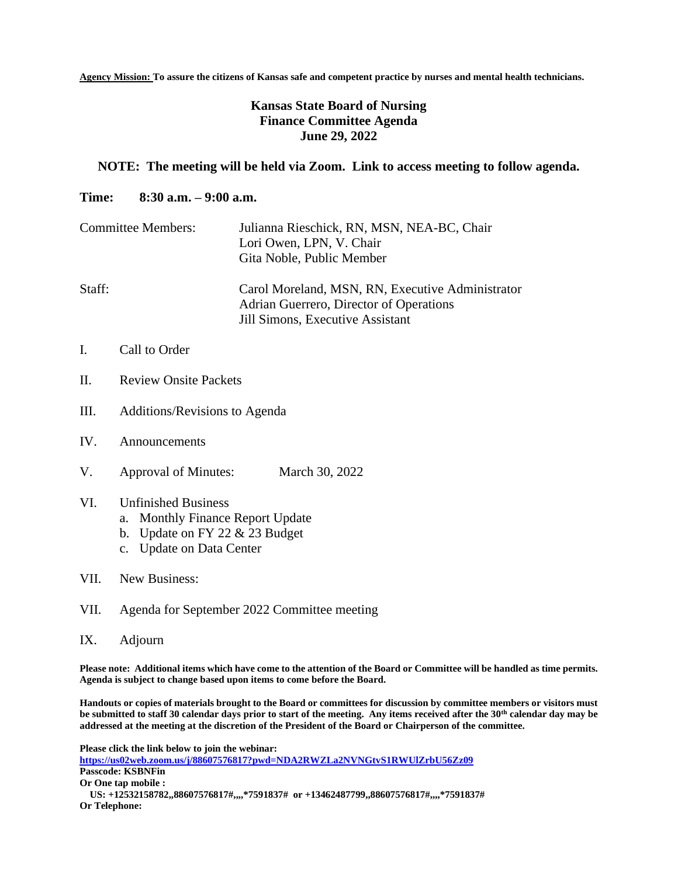**Agency Mission: To assure the citizens of Kansas safe and competent practice by nurses and mental health technicians.**

## **Kansas State Board of Nursing Finance Committee Agenda June 29, 2022**

## **NOTE: The meeting will be held via Zoom. Link to access meeting to follow agenda.**

## **Time: 8:30 a.m. – 9:00 a.m.**

| <b>Committee Members:</b> | Julianna Rieschick, RN, MSN, NEA-BC, Chair<br>Lori Owen, LPN, V. Chair<br>Gita Noble, Public Member                             |
|---------------------------|---------------------------------------------------------------------------------------------------------------------------------|
| Staff:                    | Carol Moreland, MSN, RN, Executive Administrator<br>Adrian Guerrero, Director of Operations<br>Jill Simons, Executive Assistant |

- I. Call to Order
- II. Review Onsite Packets
- III. Additions/Revisions to Agenda
- IV. Announcements
- V. Approval of Minutes: March 30, 2022
- VI. Unfinished Business
	- a. Monthly Finance Report Update
	- b. Update on FY 22 & 23 Budget
	- c. Update on Data Center
- VII. New Business:
- VII. Agenda for September 2022 Committee meeting
- IX. Adjourn

**Please note: Additional items which have come to the attention of the Board or Committee will be handled as time permits. Agenda is subject to change based upon items to come before the Board.**

**Handouts or copies of materials brought to the Board or committees for discussion by committee members or visitors must be submitted to staff 30 calendar days prior to start of the meeting. Any items received after the 30th calendar day may be addressed at the meeting at the discretion of the President of the Board or Chairperson of the committee.**

**Please click the link below to join the webinar: <https://us02web.zoom.us/j/88607576817?pwd=NDA2RWZLa2NVNGtvS1RWUlZrbU56Zz09> Passcode: KSBNFin Or One tap mobile : US: +12532158782,,88607576817#,,,,\*7591837# or +13462487799,,88607576817#,,,,\*7591837# Or Telephone:**